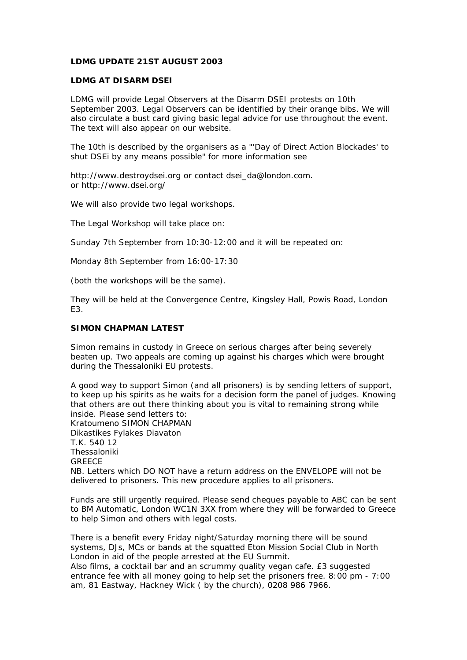## **LDMG UPDATE 21ST AUGUST 2003**

### **LDMG AT DISARM DSEI**

LDMG will provide Legal Observers at the Disarm DSEI protests on 10th September 2003. Legal Observers can be identified by their orange bibs. We will also circulate a bust card giving basic legal advice for use throughout the event. The text will also appear on our website.

The 10th is described by the organisers as a "'Day of Direct Action Blockades' to shut DSEi by any means possible" for more information see

http://www.destroydsei.org or contact dsei\_da@london.com. or http://www.dsei.org/

We will also provide two legal workshops.

The Legal Workshop will take place on:

Sunday 7th September from 10:30-12:00 and it will be repeated on:

Monday 8th September from 16:00-17:30

(both the workshops will be the same).

They will be held at the Convergence Centre, Kingsley Hall, Powis Road, London E3.

# **SIMON CHAPMAN LATEST**

Simon remains in custody in Greece on serious charges after being severely beaten up. Two appeals are coming up against his charges which were brought during the Thessaloniki EU protests.

A good way to support Simon (and all prisoners) is by sending letters of support, to keep up his spirits as he waits for a decision form the panel of judges. Knowing that others are out there thinking about you is vital to remaining strong while inside. Please send letters to: Kratoumeno SIMON CHAPMAN Dikastikes Fylakes Diavaton T.K. 540 12 Thessaloniki **GREECE** NB. Letters which DO NOT have a return address on the ENVELOPE will not be delivered to prisoners. This new procedure applies to all prisoners.

Funds are still urgently required. Please send cheques payable to ABC can be sent to BM Automatic, London WC1N 3XX from where they will be forwarded to Greece to help Simon and others with legal costs.

There is a benefit every Friday night/Saturday morning there will be sound systems, DJs, MCs or bands at the squatted Eton Mission Social Club in North London in aid of the people arrested at the EU Summit.

Also films, a cocktail bar and an scrummy quality vegan cafe. £3 suggested entrance fee with all money going to help set the prisoners free. 8:00 pm - 7:00 am, 81 Eastway, Hackney Wick ( by the church), 0208 986 7966.